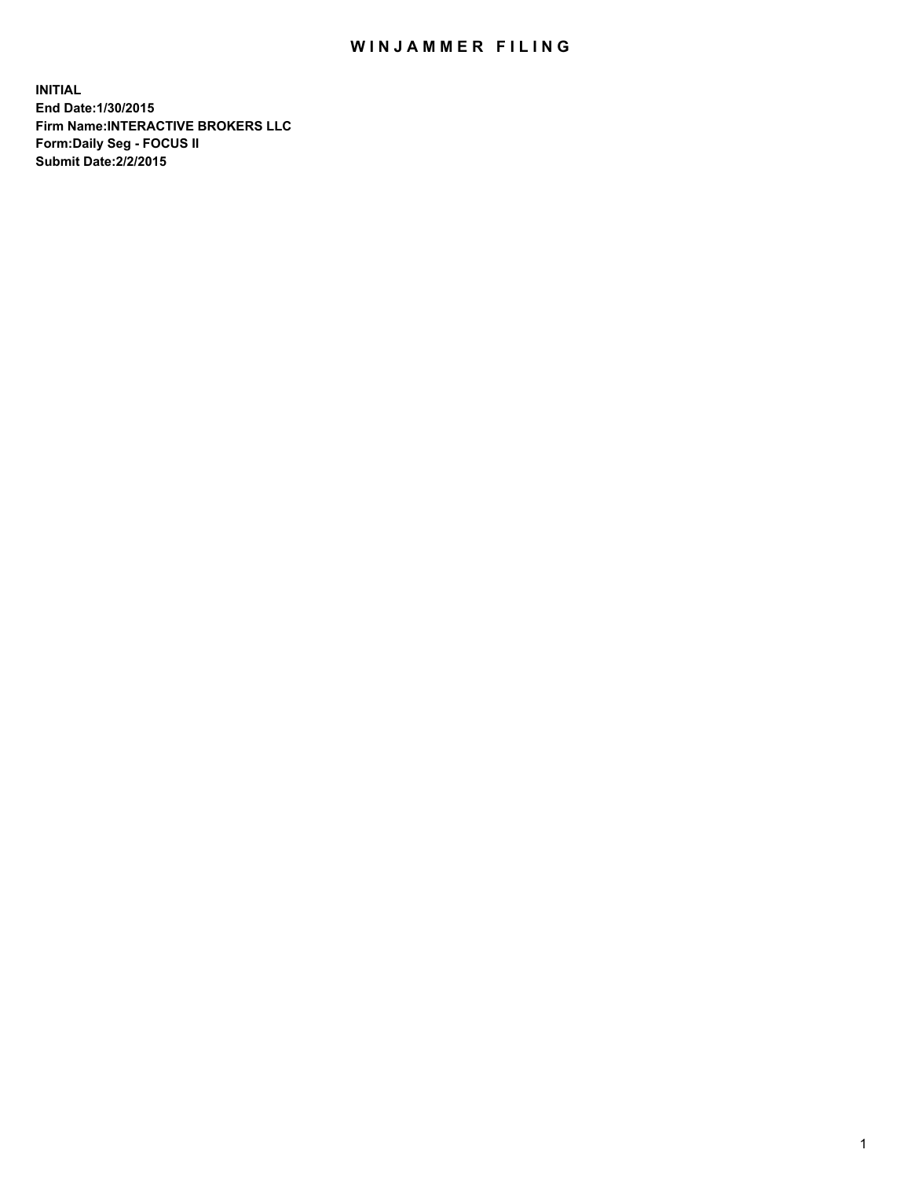## WIN JAMMER FILING

**INITIAL End Date:1/30/2015 Firm Name:INTERACTIVE BROKERS LLC Form:Daily Seg - FOCUS II Submit Date:2/2/2015**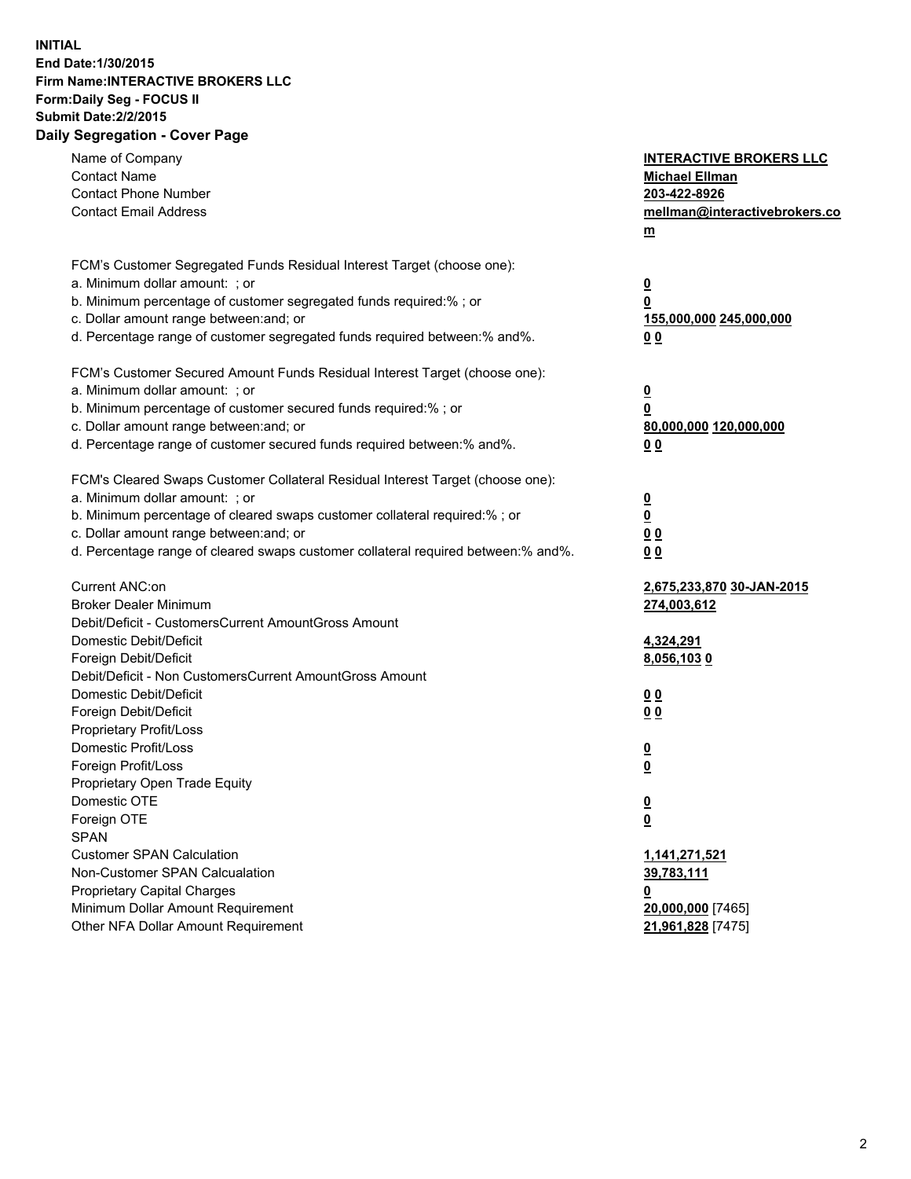## **INITIAL End Date:1/30/2015 Firm Name:INTERACTIVE BROKERS LLC Form:Daily Seg - FOCUS II Submit Date:2/2/2015 Daily Segregation - Cover Page**

| Name of Company<br><b>Contact Name</b><br><b>Contact Phone Number</b><br><b>Contact Email Address</b>                                                                                                                                                                                                                          | <b>INTERACTIVE BROKERS LLC</b><br><b>Michael Ellman</b><br>203-422-8926<br>mellman@interactivebrokers.co<br>m |
|--------------------------------------------------------------------------------------------------------------------------------------------------------------------------------------------------------------------------------------------------------------------------------------------------------------------------------|---------------------------------------------------------------------------------------------------------------|
| FCM's Customer Segregated Funds Residual Interest Target (choose one):<br>a. Minimum dollar amount: ; or<br>b. Minimum percentage of customer segregated funds required:% ; or<br>c. Dollar amount range between: and; or<br>d. Percentage range of customer segregated funds required between:% and%.                         | $\overline{\mathbf{0}}$<br>0<br>155,000,000 245,000,000<br>00                                                 |
| FCM's Customer Secured Amount Funds Residual Interest Target (choose one):<br>a. Minimum dollar amount: ; or<br>b. Minimum percentage of customer secured funds required:% ; or<br>c. Dollar amount range between: and; or<br>d. Percentage range of customer secured funds required between:% and%.                           | $\overline{\mathbf{0}}$<br>0<br>80,000,000 120,000,000<br>0 <sub>0</sub>                                      |
| FCM's Cleared Swaps Customer Collateral Residual Interest Target (choose one):<br>a. Minimum dollar amount: ; or<br>b. Minimum percentage of cleared swaps customer collateral required:% ; or<br>c. Dollar amount range between: and; or<br>d. Percentage range of cleared swaps customer collateral required between:% and%. | $\overline{\mathbf{0}}$<br><u>0</u><br>0 <sub>0</sub><br>0 <sub>0</sub>                                       |
| Current ANC:on<br><b>Broker Dealer Minimum</b><br>Debit/Deficit - CustomersCurrent AmountGross Amount<br>Domestic Debit/Deficit<br>Foreign Debit/Deficit                                                                                                                                                                       | 2,675,233,870 30-JAN-2015<br>274,003,612<br>4,324,291<br>8,056,1030                                           |
| Debit/Deficit - Non CustomersCurrent AmountGross Amount<br>Domestic Debit/Deficit<br>Foreign Debit/Deficit<br>Proprietary Profit/Loss<br>Domestic Profit/Loss<br>Foreign Profit/Loss                                                                                                                                           | 0 <sub>0</sub><br>0 <sub>0</sub><br>$\overline{\mathbf{0}}$<br>$\overline{\mathbf{0}}$                        |
| Proprietary Open Trade Equity<br>Domestic OTE<br>Foreign OTE<br><b>SPAN</b><br><b>Customer SPAN Calculation</b>                                                                                                                                                                                                                | $\overline{\mathbf{0}}$<br><u>0</u><br>1,141,271,521                                                          |
| Non-Customer SPAN Calcualation<br><b>Proprietary Capital Charges</b><br>Minimum Dollar Amount Requirement<br>Other NFA Dollar Amount Requirement                                                                                                                                                                               | 39,783,111<br><u>0</u><br>20,000,000 [7465]<br>21,961,828 [7475]                                              |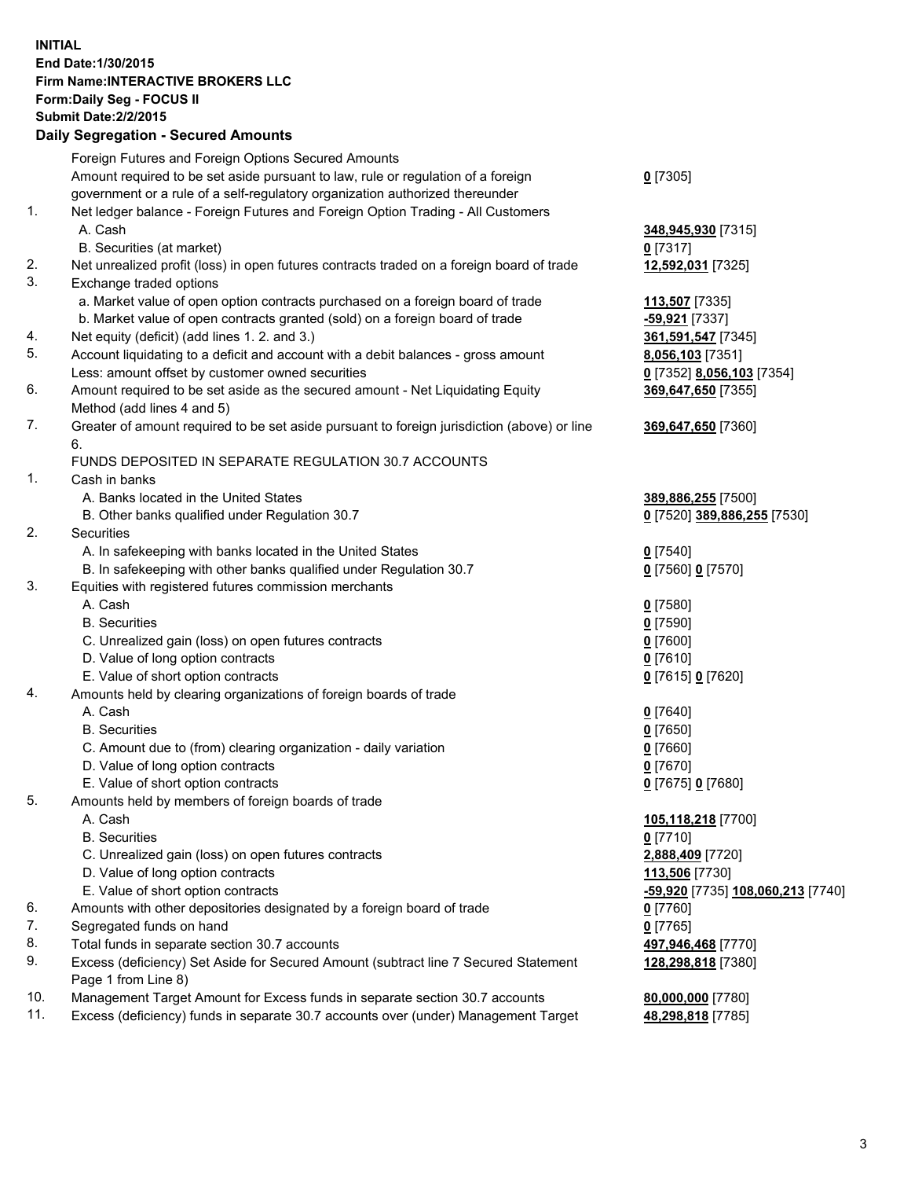## **INITIAL End Date:1/30/2015 Firm Name:INTERACTIVE BROKERS LLC Form:Daily Seg - FOCUS II Submit Date:2/2/2015**

|     | <b>Daily Segregation - Secured Amounts</b>                                                  |                                   |
|-----|---------------------------------------------------------------------------------------------|-----------------------------------|
|     | Foreign Futures and Foreign Options Secured Amounts                                         |                                   |
|     | Amount required to be set aside pursuant to law, rule or regulation of a foreign            | $0$ [7305]                        |
|     | government or a rule of a self-regulatory organization authorized thereunder                |                                   |
| 1.  | Net ledger balance - Foreign Futures and Foreign Option Trading - All Customers             |                                   |
|     | A. Cash                                                                                     | 348,945,930 [7315]                |
|     | B. Securities (at market)                                                                   | $0$ [7317]                        |
| 2.  | Net unrealized profit (loss) in open futures contracts traded on a foreign board of trade   | 12,592,031 [7325]                 |
| 3.  | Exchange traded options                                                                     |                                   |
|     | a. Market value of open option contracts purchased on a foreign board of trade              | 113,507 [7335]                    |
|     | b. Market value of open contracts granted (sold) on a foreign board of trade                | -59,921 [7337]                    |
| 4.  | Net equity (deficit) (add lines 1.2. and 3.)                                                | 361,591,547 [7345]                |
| 5.  | Account liquidating to a deficit and account with a debit balances - gross amount           | <b>8,056,103</b> [7351]           |
|     | Less: amount offset by customer owned securities                                            | 0 [7352] 8,056,103 [7354]         |
| 6.  | Amount required to be set aside as the secured amount - Net Liquidating Equity              | 369,647,650 [7355]                |
|     | Method (add lines 4 and 5)                                                                  |                                   |
| 7.  | Greater of amount required to be set aside pursuant to foreign jurisdiction (above) or line | 369,647,650 [7360]                |
|     | 6.                                                                                          |                                   |
|     | FUNDS DEPOSITED IN SEPARATE REGULATION 30.7 ACCOUNTS                                        |                                   |
| 1.  | Cash in banks                                                                               |                                   |
|     | A. Banks located in the United States                                                       | 389,886,255 [7500]                |
|     | B. Other banks qualified under Regulation 30.7                                              | 0 [7520] 389,886,255 [7530]       |
| 2.  | Securities                                                                                  |                                   |
|     | A. In safekeeping with banks located in the United States                                   | $0$ [7540]                        |
|     | B. In safekeeping with other banks qualified under Regulation 30.7                          | 0 [7560] 0 [7570]                 |
| 3.  | Equities with registered futures commission merchants                                       |                                   |
|     | A. Cash                                                                                     | $0$ [7580]                        |
|     | <b>B.</b> Securities                                                                        | $0$ [7590]                        |
|     | C. Unrealized gain (loss) on open futures contracts                                         | $0$ [7600]                        |
|     | D. Value of long option contracts                                                           | $0$ [7610]                        |
|     | E. Value of short option contracts                                                          | 0 [7615] 0 [7620]                 |
| 4.  | Amounts held by clearing organizations of foreign boards of trade                           |                                   |
|     | A. Cash                                                                                     | $0$ [7640]                        |
|     | <b>B.</b> Securities                                                                        | $0$ [7650]                        |
|     | C. Amount due to (from) clearing organization - daily variation                             | $0$ [7660]                        |
|     | D. Value of long option contracts                                                           | $0$ [7670]                        |
|     | E. Value of short option contracts                                                          | 0 [7675] 0 [7680]                 |
| 5.  | Amounts held by members of foreign boards of trade                                          |                                   |
|     | A. Cash                                                                                     | 105,118,218 [7700]                |
|     | <b>B.</b> Securities                                                                        | 0 [7710]                          |
|     | C. Unrealized gain (loss) on open futures contracts                                         | 2,888,409 [7720]                  |
|     | D. Value of long option contracts                                                           | 113,506 [7730]                    |
|     | E. Value of short option contracts                                                          | -59,920 [7735] 108,060,213 [7740] |
| 6.  | Amounts with other depositories designated by a foreign board of trade                      | 0 [7760]                          |
| 7.  | Segregated funds on hand                                                                    | $0$ [7765]                        |
| 8.  | Total funds in separate section 30.7 accounts                                               | 497,946,468 [7770]                |
| 9.  | Excess (deficiency) Set Aside for Secured Amount (subtract line 7 Secured Statement         | 128,298,818 [7380]                |
|     | Page 1 from Line 8)                                                                         |                                   |
| 10. | Management Target Amount for Excess funds in separate section 30.7 accounts                 | 80,000,000 [7780]                 |
| 11. | Excess (deficiency) funds in separate 30.7 accounts over (under) Management Target          | 48,298,818 [7785]                 |
|     |                                                                                             |                                   |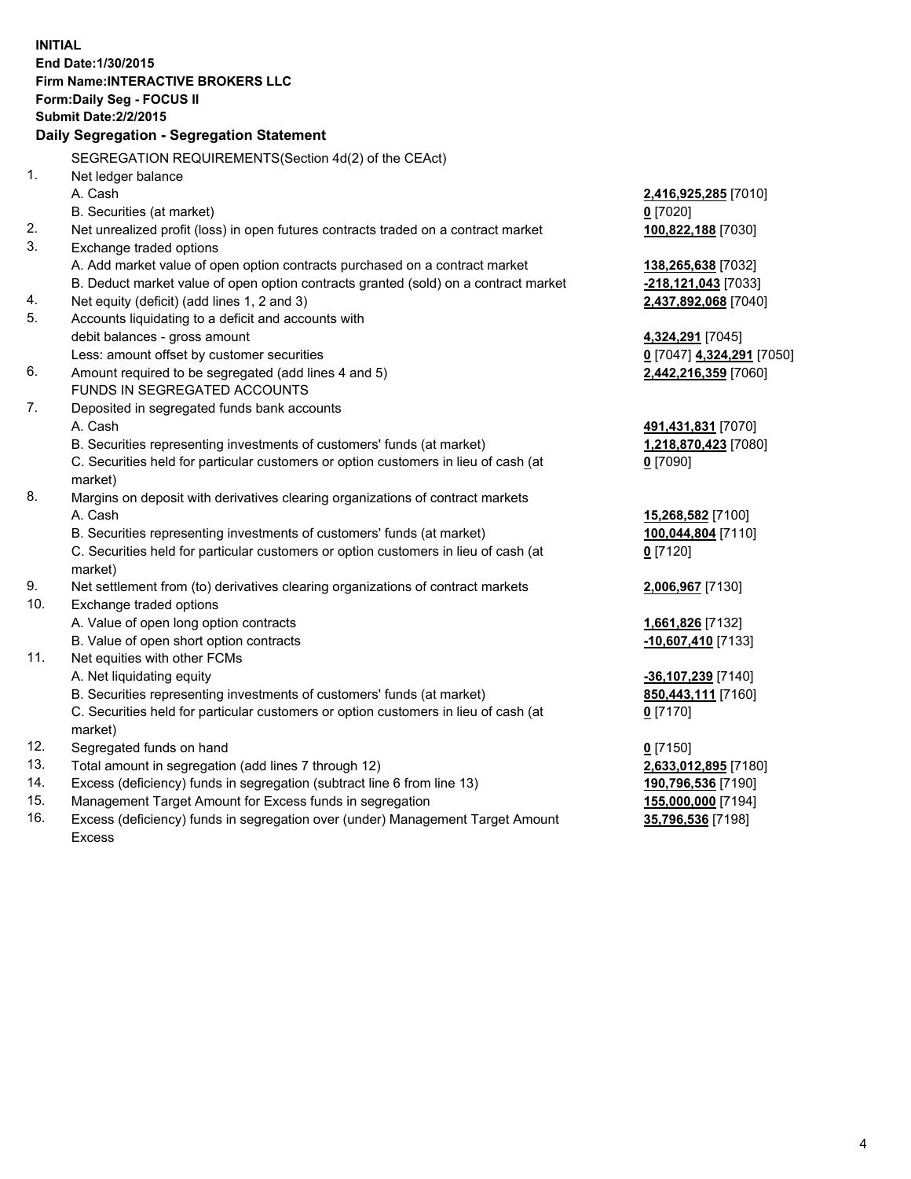**INITIAL End Date:1/30/2015 Firm Name:INTERACTIVE BROKERS LLC Form:Daily Seg - FOCUS II Submit Date:2/2/2015 Daily Segregation - Segregation Statement** SEGREGATION REQUIREMENTS(Section 4d(2) of the CEAct) 1. Net ledger balance A. Cash **2,416,925,285** [7010] B. Securities (at market) **0** [7020] 2. Net unrealized profit (loss) in open futures contracts traded on a contract market **100,822,188** [7030] 3. Exchange traded options A. Add market value of open option contracts purchased on a contract market **138,265,638** [7032] B. Deduct market value of open option contracts granted (sold) on a contract market **-218,121,043** [7033] 4. Net equity (deficit) (add lines 1, 2 and 3) **2,437,892,068** [7040] 5. Accounts liquidating to a deficit and accounts with debit balances - gross amount **4,324,291** [7045] Less: amount offset by customer securities **0** [7047] **4,324,291** [7050] 6. Amount required to be segregated (add lines 4 and 5) **2,442,216,359** [7060] FUNDS IN SEGREGATED ACCOUNTS 7. Deposited in segregated funds bank accounts A. Cash **491,431,831** [7070] B. Securities representing investments of customers' funds (at market) **1,218,870,423** [7080] C. Securities held for particular customers or option customers in lieu of cash (at market) **0** [7090] 8. Margins on deposit with derivatives clearing organizations of contract markets A. Cash **15,268,582** [7100] B. Securities representing investments of customers' funds (at market) **100,044,804** [7110] C. Securities held for particular customers or option customers in lieu of cash (at market) **0** [7120] 9. Net settlement from (to) derivatives clearing organizations of contract markets **2,006,967** [7130] 10. Exchange traded options A. Value of open long option contracts **1,661,826** [7132] B. Value of open short option contracts **-10,607,410** [7133] 11. Net equities with other FCMs A. Net liquidating equity **-36,107,239** [7140] B. Securities representing investments of customers' funds (at market) **850,443,111** [7160] C. Securities held for particular customers or option customers in lieu of cash (at market) **0** [7170] 12. Segregated funds on hand **0** [7150] 13. Total amount in segregation (add lines 7 through 12) **2,633,012,895** [7180] 14. Excess (deficiency) funds in segregation (subtract line 6 from line 13) **190,796,536** [7190] 15. Management Target Amount for Excess funds in segregation **155,000,000** [7194]

16. Excess (deficiency) funds in segregation over (under) Management Target Amount Excess

**35,796,536** [7198]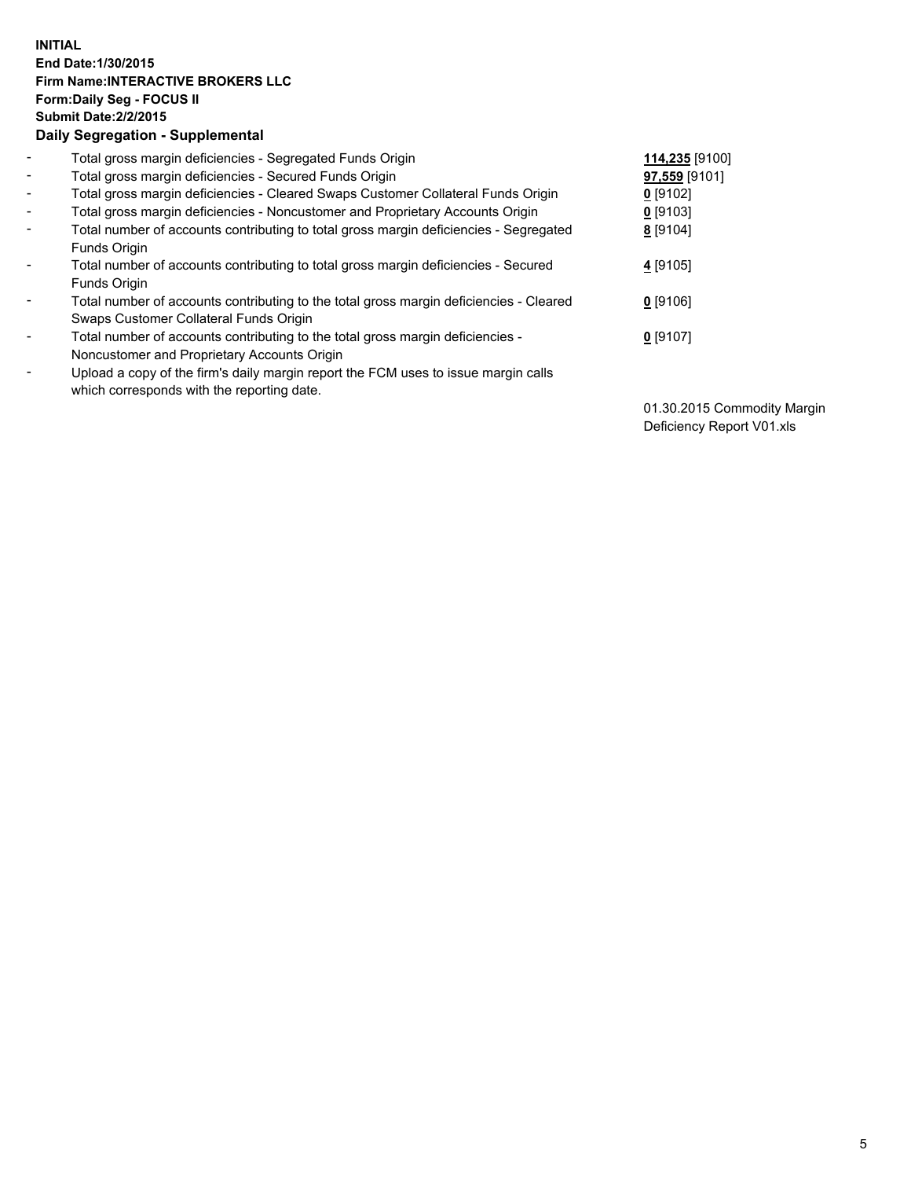## **INITIAL End Date:1/30/2015 Firm Name:INTERACTIVE BROKERS LLC Form:Daily Seg - FOCUS II Submit Date:2/2/2015 Daily Segregation - Supplemental**

| $\blacksquare$           | Total gross margin deficiencies - Segregated Funds Origin                              | 114,235 [9100] |
|--------------------------|----------------------------------------------------------------------------------------|----------------|
| $\blacksquare$           | Total gross margin deficiencies - Secured Funds Origin                                 | 97,559 [9101]  |
| $\blacksquare$           | Total gross margin deficiencies - Cleared Swaps Customer Collateral Funds Origin       | $0$ [9102]     |
| $\blacksquare$           | Total gross margin deficiencies - Noncustomer and Proprietary Accounts Origin          | $0$ [9103]     |
| $\blacksquare$           | Total number of accounts contributing to total gross margin deficiencies - Segregated  | 8 [9104]       |
|                          | Funds Origin                                                                           |                |
| $\blacksquare$           | Total number of accounts contributing to total gross margin deficiencies - Secured     | 4 [9105]       |
|                          | Funds Origin                                                                           |                |
| $\overline{\phantom{a}}$ | Total number of accounts contributing to the total gross margin deficiencies - Cleared | $0$ [9106]     |
|                          | Swaps Customer Collateral Funds Origin                                                 |                |
| -                        | Total number of accounts contributing to the total gross margin deficiencies -         | $0$ [9107]     |
|                          | Noncustomer and Proprietary Accounts Origin                                            |                |
| $\blacksquare$           | Upload a copy of the firm's daily margin report the FCM uses to issue margin calls     |                |
|                          | which corresponds with the reporting date.                                             |                |

01.30.2015 Commodity Margin Deficiency Report V01.xls